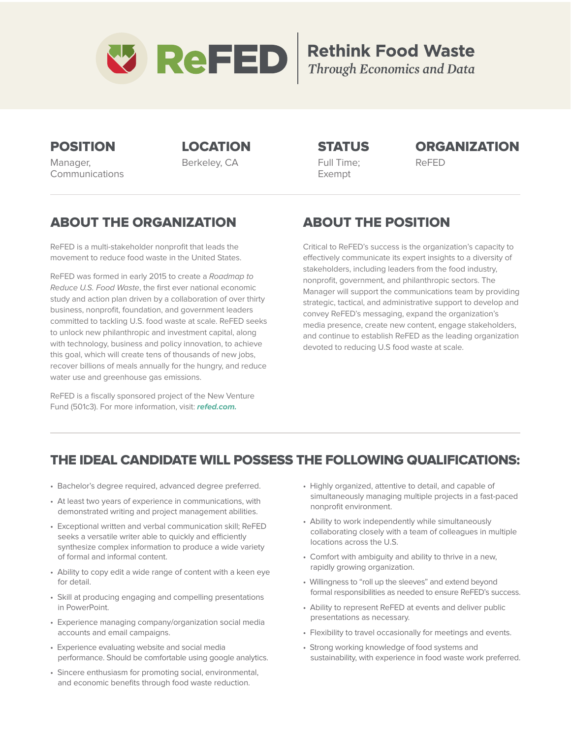

# **Rethink Food Waste** Through Economics and Data

Manager, Communications

Berkeley, CA Full Time; ReFED Exempt

### POSITION LOCATION STATUS ORGANIZATION

### ABOUT THE ORGANIZATION

ReFED is a multi-stakeholder nonprofit that leads the movement to reduce food waste in the United States.

ReFED was formed in early 2015 to create a Roadmap to Reduce U.S. Food Waste, the first ever national economic study and action plan driven by a collaboration of over thirty business, nonprofit, foundation, and government leaders committed to tackling U.S. food waste at scale. ReFED seeks to unlock new philanthropic and investment capital, along with technology, business and policy innovation, to achieve this goal, which will create tens of thousands of new jobs, recover billions of meals annually for the hungry, and reduce water use and greenhouse gas emissions.

ReFED is a fiscally sponsored project of the New Venture Fund (501c3). For more information, visit: **refed.com.**

# ABOUT THE POSITION

Critical to ReFED's success is the organization's capacity to effectively communicate its expert insights to a diversity of stakeholders, including leaders from the food industry, nonprofit, government, and philanthropic sectors. The Manager will support the communications team by providing strategic, tactical, and administrative support to develop and convey ReFED's messaging, expand the organization's media presence, create new content, engage stakeholders, and continue to establish ReFED as the leading organization devoted to reducing U.S food waste at scale.

### THE IDEAL CANDIDATE WILL POSSESS THE FOLLOWING QUALIFICATIONS:

- Bachelor's degree required, advanced degree preferred.
- At least two years of experience in communications, with demonstrated writing and project management abilities.
- Exceptional written and verbal communication skill; ReFED seeks a versatile writer able to quickly and efficiently synthesize complex information to produce a wide variety of formal and informal content.
- Ability to copy edit a wide range of content with a keen eye for detail.
- Skill at producing engaging and compelling presentations in PowerPoint.
- Experience managing company/organization social media accounts and email campaigns.
- Experience evaluating website and social media performance. Should be comfortable using google analytics.
- Sincere enthusiasm for promoting social, environmental, and economic benefits through food waste reduction.
- Highly organized, attentive to detail, and capable of simultaneously managing multiple projects in a fast-paced nonprofit environment.
- Ability to work independently while simultaneously collaborating closely with a team of colleagues in multiple locations across the U.S.
- Comfort with ambiguity and ability to thrive in a new, rapidly growing organization.
- Willingness to "roll up the sleeves" and extend beyond formal responsibilities as needed to ensure ReFED's success.
- Ability to represent ReFED at events and deliver public presentations as necessary.
- Flexibility to travel occasionally for meetings and events.
- Strong working knowledge of food systems and sustainability, with experience in food waste work preferred.